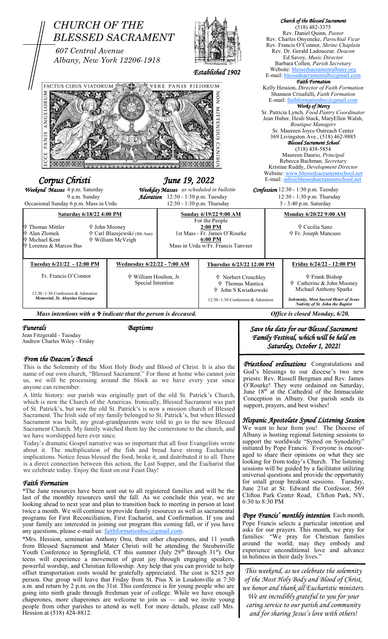

*Funerals Baptisms* 

Jean Fitzgerald - Tuesday Andrew Charles Wiley - Friday

## *From the Deacon's Bench*

This is the Solemnity of the Most Holy Body and Blood of Christ. It is also the name of our own church, "Blessed Sacrament." For those at home who cannot join us, we will be processing around the block as we have every year since anyone can remember.

A little history: our parish was originally part of the old St. Patrick's Church, which is now the Church of the Americas. Ironically, Blessed Sacrament was part of St. Patrick's, but now the old St. Patrick's is now a mission church of Blessed Sacrament. The Irish side of my family belonged to St. Patrick's, but when Blessed Sacrament was built, my great-grandparents were told to go to the new Blessed Sacrament Church. My family watched them lay the cornerstone to the church, and we have worshipped here ever since.

Today's dramatic Gospel narrative was so important that all four Evangelists wrote about it. The multiplication of the fish and bread have strong Eucharistic implications. Notice Jesus blessed the food, broke it, and distributed it to all. There is a direct connection between this action, the Last Supper, and the Eucharist that we celebrate today. Enjoy the feast on our Feast Day!

## *Faith Formation*

\*The June resources have been sent out to all registered families and will be the last of the monthly resources until the fall. As we conclude this year, we are looking ahead to next year and plan to transition back to meeting in person at least twice a month. We will continue to provide family resources as well as sacramental programs for First Reconciliation, First Eucharist, and Confirmation. If you and your family are interested in joining our program this coming fall, or if you have any questions, please e-mail us: <u>faithformationbsc@gmail.com</u>.

\*Mrs. Hession, seminarian Anthony Onu, three other chaperones, and 11 youth from Blessed Sacrament and Mater Christi will be attending the Steubenville Youth Conference in Springfield, CT this summer (July  $29<sup>th</sup>$  through  $31<sup>st</sup>$ ). Our teens will experience a movement of great joy through engaging speakers, powerful worship, and Christian fellowship. Any help that you can provide to help offset transportation costs would be gratefully appreciated. The cost is \$215 per person. Our group will leave that Friday from St. Pius X in Loudonville at 7:30 a.m. and return by 2 p.m. on the 31st. This conference is for young people who are going into ninth grade through freshman year of college. While we have enough chaperones, more chaperones are welcome to join us — and we invite young people from other parishes to attend as well. For more details, please call Mrs. Hession at (518) 424-8812.

*Save the date for our Blessed Sacrament Family Festival, which will be held on Saturday, October 1, 2022!*

*Priesthood ordinations* Congratulations and God's blessings to our diocese's two new priests: Rev. Russell Bergman and Rev. James O'Rourke! They were ordained on Saturday, June 18<sup>th</sup> at the Cathedral of the Immaculate Conception in Albany. Our parish sends its support, prayers, and best wishes!

## *Hispanic Apostolate Synod Listening Session*

We want to hear from you! The Diocese of Albany is hosting regional listening sessions to support the worldwide "Synod on Synodality" initiated by Pope Francis. Everyone is encouraged to share their opinions on what they are looking for from today's Church. The listening sessions will be guided by a facilitator utilizing universal questions and provide the opportunity for small group breakout sessions. Tuesday, June 21st at St. Edward the Confessor, 569 Clifton Park Center Road, Clifton Park, NY, 6:30 to 8:30 PM

*Pope Francis' monthly intention* Each month, Pope Francis selects a particular intention and asks for our prayers. This month, we pray for families: "We pray for Christian families around the world; may they embody and experience unconditional love and advance in holiness in their daily lives."

*This weekend, as we celebrate the solemnity of the Most Holy Body and Blood of Christ, we honor and thank all Eucharistic ministers. We are incredibly grateful to you for your caring service to our parish and community and for sharing Jesus's love with others!*